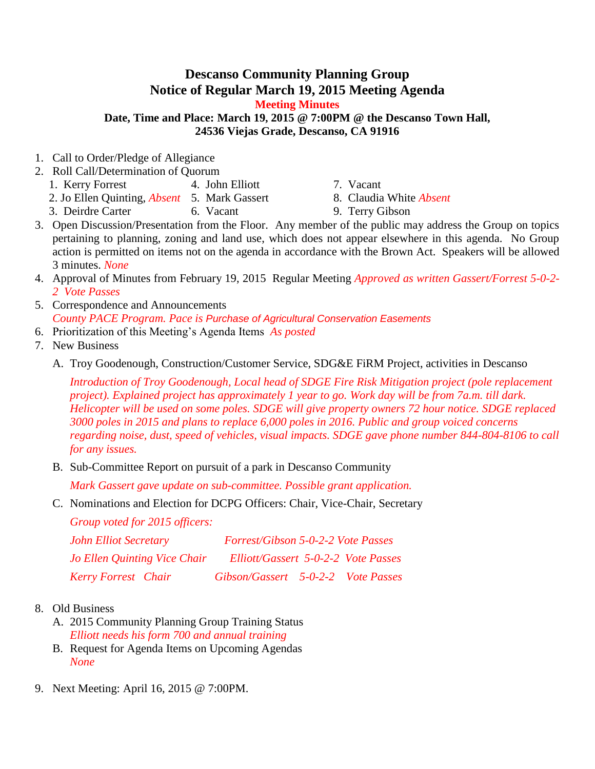## **Descanso Community Planning Group Notice of Regular March 19, 2015 Meeting Agenda**

**Meeting Minutes**

**Date, Time and Place: March 19, 2015 @ 7:00PM @ the Descanso Town Hall, 24536 Viejas Grade, Descanso, CA 91916**

- 1. Call to Order/Pledge of Allegiance
- 2. Roll Call/Determination of Quorum
	- 1. Kerry Forrest 4. John Elliott 7. Vacant
	- 2. Jo Ellen Quinting, *Absent* 5. Mark Gassert 8. Claudia White *Absent*
	- 3. Deirdre Carter 6. Vacant 9. Terry Gibson
- 
- 
- 3. Open Discussion/Presentation from the Floor. Any member of the public may address the Group on topics pertaining to planning, zoning and land use, which does not appear elsewhere in this agenda. No Group action is permitted on items not on the agenda in accordance with the Brown Act. Speakers will be allowed 3 minutes. *None*
- 4. Approval of Minutes from February 19, 2015 Regular Meeting *Approved as written Gassert/Forrest 5-0-2- 2 Vote Passes*
- 5. Correspondence and Announcements *County PACE Program. Pace is Purchase of Agricultural Conservation Easements*
- 6. Prioritization of this Meeting's Agenda Items *As posted*
- 7. New Business
	- A. Troy Goodenough, Construction/Customer Service, SDG&E FiRM Project, activities in Descanso

*Introduction of Troy Goodenough, Local head of SDGE Fire Risk Mitigation project (pole replacement project). Explained project has approximately 1 year to go. Work day will be from 7a.m. till dark. Helicopter will be used on some poles. SDGE will give property owners 72 hour notice. SDGE replaced 3000 poles in 2015 and plans to replace 6,000 poles in 2016. Public and group voiced concerns regarding noise, dust, speed of vehicles, visual impacts. SDGE gave phone number 844-804-8106 to call for any issues.*

B. Sub-Committee Report on pursuit of a park in Descanso Community

*Mark Gassert gave update on sub-committee. Possible grant application.* 

C. Nominations and Election for DCPG Officers: Chair, Vice-Chair, Secretary

*Group voted for 2015 officers:*

| <b>John Elliot Secretary</b>        | Forrest/Gibson 5-0-2-2 Vote Passes  |  |  |
|-------------------------------------|-------------------------------------|--|--|
| <b>Jo Ellen Quinting Vice Chair</b> | Elliott/Gassert 5-0-2-2 Vote Passes |  |  |
| <b>Kerry Forrest</b> Chair          | Gibson/Gassert 5-0-2-2 Vote Passes  |  |  |

- 8. Old Business
	- A. 2015 Community Planning Group Training Status *Elliott needs his form 700 and annual training*
	- B. Request for Agenda Items on Upcoming Agendas *None*
- 9. Next Meeting: April 16, 2015 @ 7:00PM.